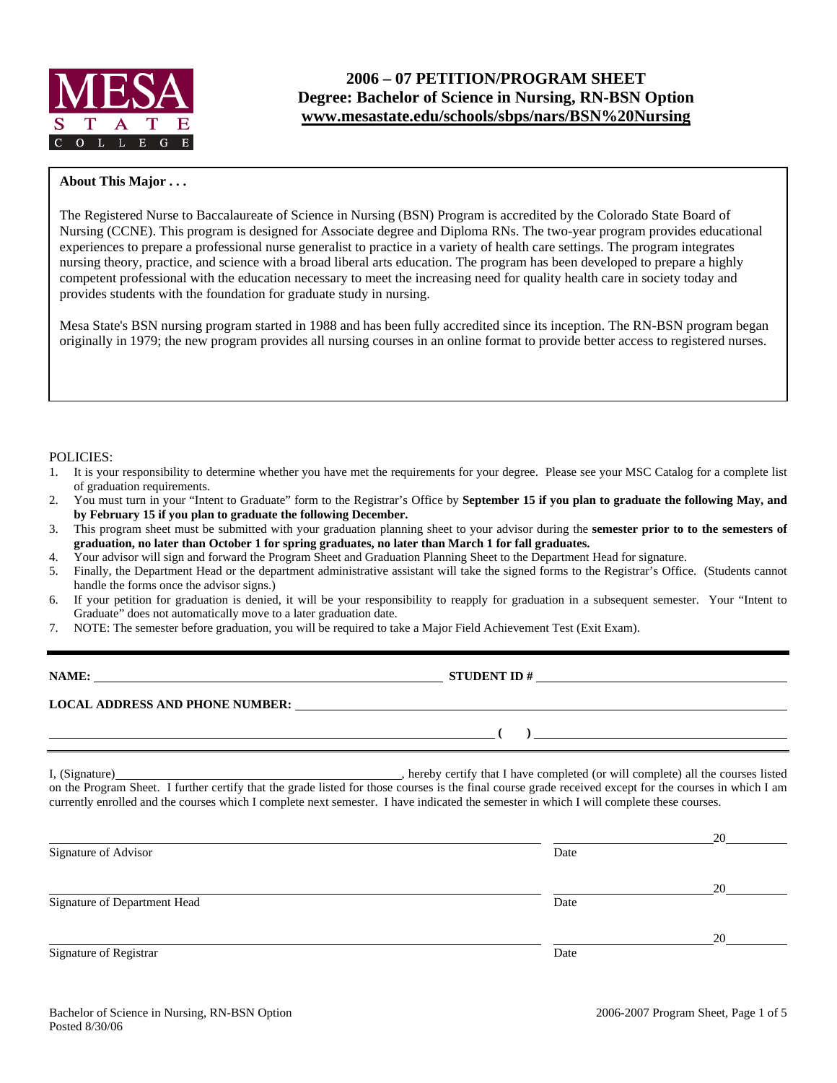

# **2006 – 07 PETITION/PROGRAM SHEET Degree: Bachelor of Science in Nursing, RN-BSN Option www.mesastate.edu/schools/sbps/nars/BSN%20Nursing**

## **About This Major . . .**

The Registered Nurse to Baccalaureate of Science in Nursing (BSN) Program is accredited by the Colorado State Board of Nursing (CCNE). This program is designed for Associate degree and Diploma RNs. The two-year program provides educational experiences to prepare a professional nurse generalist to practice in a variety of health care settings. The program integrates nursing theory, practice, and science with a broad liberal arts education. The program has been developed to prepare a highly competent professional with the education necessary to meet the increasing need for quality health care in society today and provides students with the foundation for graduate study in nursing.

Mesa State's BSN nursing program started in 1988 and has been fully accredited since its inception. The RN-BSN program began originally in 1979; the new program provides all nursing courses in an online format to provide better access to registered nurses.

### POLICIES:

- 1. It is your responsibility to determine whether you have met the requirements for your degree. Please see your MSC Catalog for a complete list of graduation requirements.
- 2. You must turn in your "Intent to Graduate" form to the Registrar's Office by **September 15 if you plan to graduate the following May, and by February 15 if you plan to graduate the following December.**
- 3. This program sheet must be submitted with your graduation planning sheet to your advisor during the **semester prior to to the semesters of graduation, no later than October 1 for spring graduates, no later than March 1 for fall graduates.**
- 4. Your advisor will sign and forward the Program Sheet and Graduation Planning Sheet to the Department Head for signature.
- 5. Finally, the Department Head or the department administrative assistant will take the signed forms to the Registrar's Office. (Students cannot handle the forms once the advisor signs.)
- 6. If your petition for graduation is denied, it will be your responsibility to reapply for graduation in a subsequent semester. Your "Intent to Graduate" does not automatically move to a later graduation date.
- 7. NOTE: The semester before graduation, you will be required to take a Major Field Achievement Test (Exit Exam).

| ۱MI<br>ıА |
|-----------|
|-----------|

**STUDENT ID #** 

 **( )** 

**LOCAL ADDRESS AND PHONE NUMBER:**

I, (Signature) hereby certify that I have completed (or will complete) all the courses listed on the Program Sheet. I further certify that the grade listed for those courses is the final course grade received except for the courses in which I am currently enrolled and the courses which I complete next semester. I have indicated the semester in which I will complete these courses.

|                              |      | 20 |
|------------------------------|------|----|
| Signature of Advisor         | Date |    |
|                              |      | 20 |
| Signature of Department Head | Date |    |
|                              |      | 20 |
| Signature of Registrar       | Date |    |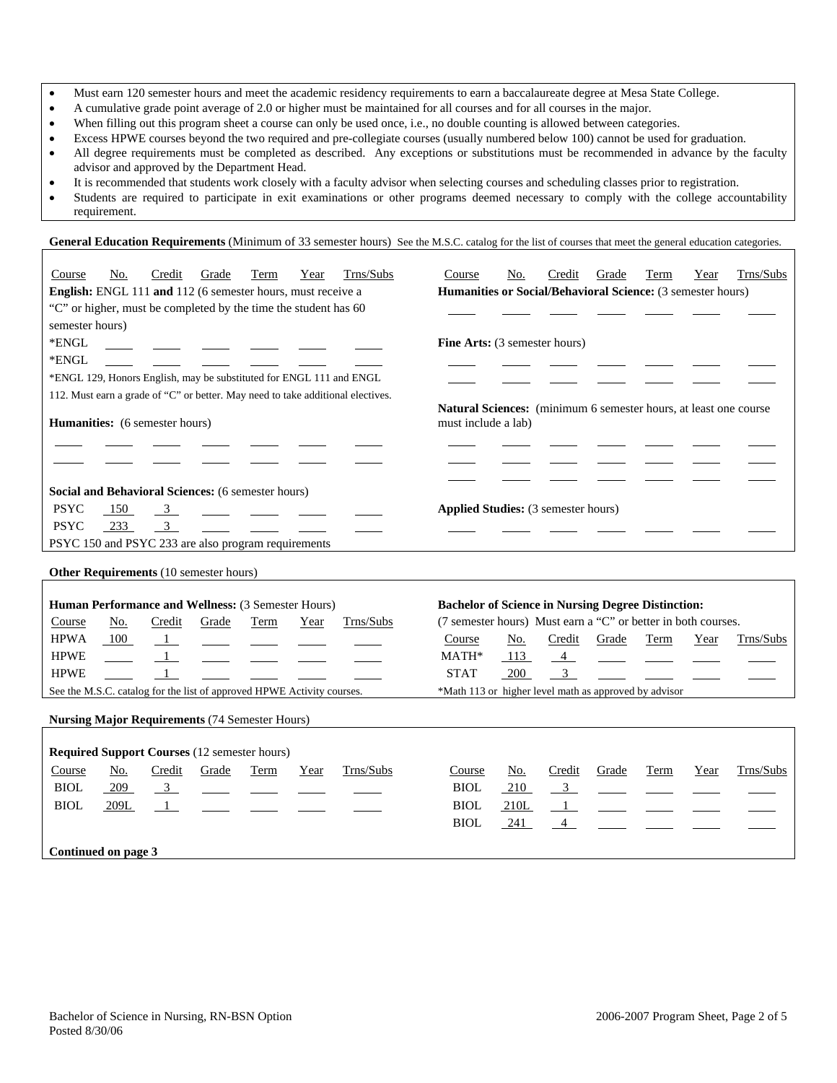- Must earn 120 semester hours and meet the academic residency requirements to earn a baccalaureate degree at Mesa State College.
- A cumulative grade point average of 2.0 or higher must be maintained for all courses and for all courses in the major.
- When filling out this program sheet a course can only be used once, i.e., no double counting is allowed between categories.
- Excess HPWE courses beyond the two required and pre-collegiate courses (usually numbered below 100) cannot be used for graduation.
- All degree requirements must be completed as described. Any exceptions or substitutions must be recommended in advance by the faculty advisor and approved by the Department Head.
- It is recommended that students work closely with a faculty advisor when selecting courses and scheduling classes prior to registration.
- Students are required to participate in exit examinations or other programs deemed necessary to comply with the college accountability requirement.

General Education Requirements (Minimum of 33 semester hours) See the M.S.C. catalog for the list of courses that meet the general education categories.

| Course          | No.                                                                    | Credit                  | Grade | Term | Year | Trns/Subs                                                                       | Course                                                                                  | No.  | Credit         | Grade | Term        | Year | Trns/Subs |
|-----------------|------------------------------------------------------------------------|-------------------------|-------|------|------|---------------------------------------------------------------------------------|-----------------------------------------------------------------------------------------|------|----------------|-------|-------------|------|-----------|
|                 | English: ENGL 111 and 112 (6 semester hours, must receive a            |                         |       |      |      |                                                                                 | Humanities or Social/Behavioral Science: (3 semester hours)                             |      |                |       |             |      |           |
|                 | "C" or higher, must be completed by the time the student has 60        |                         |       |      |      |                                                                                 |                                                                                         |      |                |       |             |      |           |
| semester hours) |                                                                        |                         |       |      |      |                                                                                 |                                                                                         |      |                |       |             |      |           |
| *ENGL           |                                                                        |                         |       |      |      |                                                                                 | Fine Arts: (3 semester hours)                                                           |      |                |       |             |      |           |
| *ENGL           |                                                                        |                         |       |      |      |                                                                                 |                                                                                         |      |                |       |             |      |           |
|                 |                                                                        |                         |       |      |      | *ENGL 129, Honors English, may be substituted for ENGL 111 and ENGL             |                                                                                         |      |                |       |             |      |           |
|                 |                                                                        |                         |       |      |      | 112. Must earn a grade of "C" or better. May need to take additional electives. |                                                                                         |      |                |       |             |      |           |
|                 | Humanities: (6 semester hours)                                         |                         |       |      |      |                                                                                 | Natural Sciences: (minimum 6 semester hours, at least one course<br>must include a lab) |      |                |       |             |      |           |
|                 |                                                                        |                         |       |      |      |                                                                                 |                                                                                         |      |                |       |             |      |           |
|                 |                                                                        |                         |       |      |      |                                                                                 |                                                                                         |      |                |       |             |      |           |
|                 | Social and Behavioral Sciences: (6 semester hours)                     |                         |       |      |      |                                                                                 |                                                                                         |      |                |       |             |      |           |
| <b>PSYC</b>     | 150                                                                    | $\overline{\mathbf{3}}$ |       |      |      |                                                                                 | <b>Applied Studies:</b> (3 semester hours)                                              |      |                |       |             |      |           |
| <b>PSYC</b>     | 233                                                                    | $\overline{\mathbf{3}}$ |       |      |      |                                                                                 |                                                                                         |      |                |       |             |      |           |
|                 | PSYC 150 and PSYC 233 are also program requirements                    |                         |       |      |      |                                                                                 |                                                                                         |      |                |       |             |      |           |
|                 | Other Requirements (10 semester hours)                                 |                         |       |      |      |                                                                                 |                                                                                         |      |                |       |             |      |           |
|                 | Human Performance and Wellness: (3 Semester Hours)                     |                         |       |      |      |                                                                                 | <b>Bachelor of Science in Nursing Degree Distinction:</b>                               |      |                |       |             |      |           |
| Course          | No.                                                                    | Credit                  | Grade | Term | Year | Trns/Subs                                                                       | (7 semester hours) Must earn a "C" or better in both courses.                           |      |                |       |             |      |           |
| <b>HPWA</b>     | 100                                                                    | -1                      |       |      |      |                                                                                 | Course                                                                                  | No.  | Credit         | Grade | Term        | Year | Trns/Subs |
| <b>HPWE</b>     |                                                                        |                         |       |      |      |                                                                                 | MATH*                                                                                   | 113  | $\overline{4}$ |       |             |      |           |
| <b>HPWE</b>     |                                                                        | $\mathbf{1}$            |       |      |      |                                                                                 | <b>STAT</b>                                                                             | 200  | 3 <sup>7</sup> |       |             |      |           |
|                 | See the M.S.C. catalog for the list of approved HPWE Activity courses. |                         |       |      |      |                                                                                 | *Math 113 or higher level math as approved by advisor                                   |      |                |       |             |      |           |
|                 |                                                                        |                         |       |      |      |                                                                                 |                                                                                         |      |                |       |             |      |           |
|                 | <b>Nursing Major Requirements (74 Semester Hours)</b>                  |                         |       |      |      |                                                                                 |                                                                                         |      |                |       |             |      |           |
|                 |                                                                        |                         |       |      |      |                                                                                 |                                                                                         |      |                |       |             |      |           |
|                 | <b>Required Support Courses (12 semester hours)</b>                    |                         |       |      |      |                                                                                 |                                                                                         |      |                |       |             |      |           |
| Course          | No.                                                                    | Credit                  | Grade | Term | Year | Trns/Subs                                                                       | Course                                                                                  | No.  | Credit         | Grade | <b>Term</b> | Year | Trns/Subs |
| <b>BIOL</b>     | 209                                                                    | $\overline{\mathbf{3}}$ |       |      |      |                                                                                 | <b>BIOL</b>                                                                             | 210  | $\overline{3}$ |       |             |      |           |
| <b>BIOL</b>     | 209L                                                                   | $\mathbf{1}$            |       |      |      |                                                                                 | <b>BIOL</b>                                                                             | 210L | $\mathbf{1}$   |       |             |      |           |
|                 |                                                                        |                         |       |      |      |                                                                                 | <b>BIOL</b>                                                                             | 241  | $\overline{4}$ |       |             |      |           |
|                 |                                                                        |                         |       |      |      |                                                                                 |                                                                                         |      |                |       |             |      |           |

**Continued on page 3**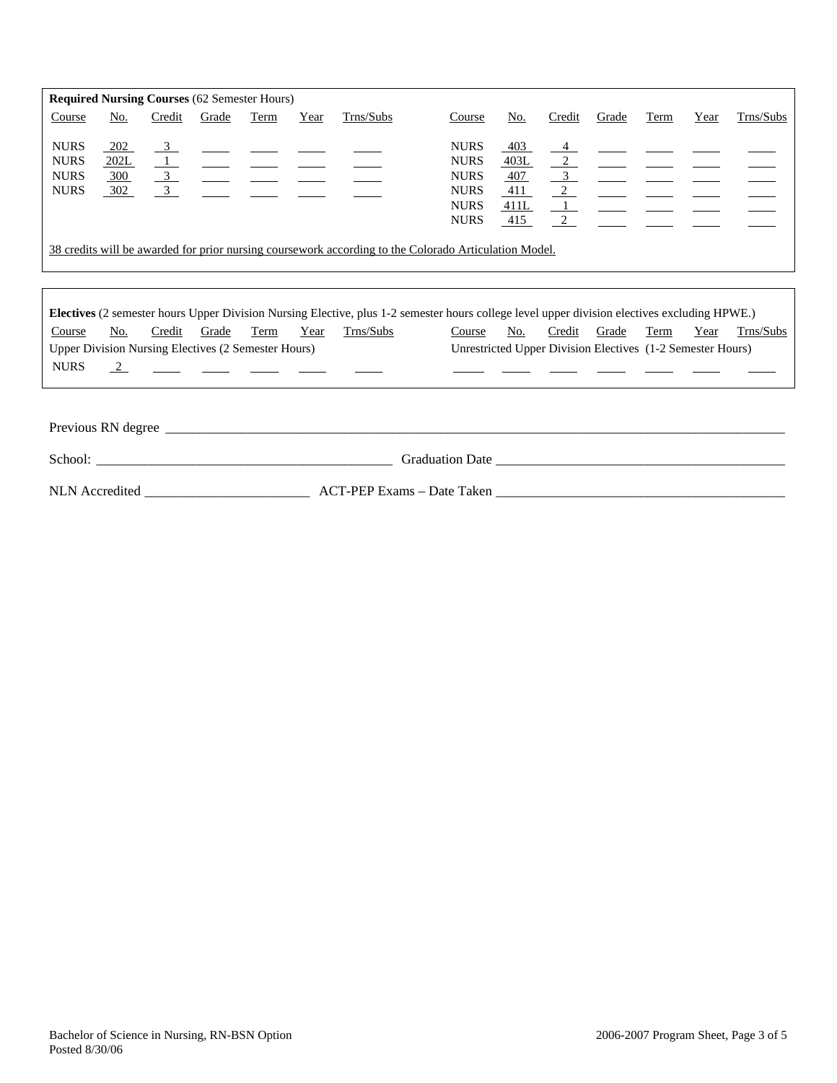| <b>Required Nursing Courses (62 Semester Hours)</b>      |                           |                                                                          |       |      |      |           |                                                                                                       |                                          |                                                         |       |      |      |           |
|----------------------------------------------------------|---------------------------|--------------------------------------------------------------------------|-------|------|------|-----------|-------------------------------------------------------------------------------------------------------|------------------------------------------|---------------------------------------------------------|-------|------|------|-----------|
| Course                                                   | No.                       | Credit                                                                   | Grade | Term | Year | Trns/Subs | Course                                                                                                | No.                                      | Credit                                                  | Grade | Term | Year | Trns/Subs |
| <b>NURS</b><br><b>NURS</b><br><b>NURS</b><br><b>NURS</b> | 202<br>202L<br>300<br>302 | $\overline{3}$<br>$\overline{\phantom{0}3}$<br>$\overline{\phantom{a}3}$ |       |      |      |           | <b>NURS</b><br><b>NURS</b><br><b>NURS</b><br><b>NURS</b><br><b>NURS</b><br><b>NURS</b>                | 403<br>403L<br>407<br>411<br>411L<br>415 | $\frac{4}{ }$<br>2<br>$\overline{\mathbf{3}}$<br>2<br>2 |       |      |      |           |
|                                                          |                           |                                                                          |       |      |      |           | 38 credits will be awarded for prior nursing coursework according to the Colorado Articulation Model. |                                          |                                                         |       |      |      |           |
|                                                          |                           |                                                                          |       |      |      |           |                                                                                                       |                                          |                                                         |       |      |      |           |

| <b>Electives</b> (2 semester hours Upper Division Nursing Elective, plus 1-2 semester hours college level upper division electives excluding HPWE.) |     |        |       |      |      |           |  |                                                            |     |        |       |      |      |           |
|-----------------------------------------------------------------------------------------------------------------------------------------------------|-----|--------|-------|------|------|-----------|--|------------------------------------------------------------|-----|--------|-------|------|------|-----------|
| Course                                                                                                                                              | No. | Credit | Grade | Term | Year | Trns/Subs |  | Course                                                     | No. | Credit | Grade | Term | Year | Trns/Subs |
| <b>Upper Division Nursing Electives (2 Semester Hours)</b>                                                                                          |     |        |       |      |      |           |  | Unrestricted Upper Division Electives (1-2 Semester Hours) |     |        |       |      |      |           |
| <b>NURS</b>                                                                                                                                         |     |        |       |      |      |           |  |                                                            |     |        |       |      |      |           |
|                                                                                                                                                     |     |        |       |      |      |           |  |                                                            |     |        |       |      |      |           |

| Previous RN degree |                            |  |
|--------------------|----------------------------|--|
| School:            | <b>Graduation Date</b>     |  |
| NLN Accredited     | ACT-PEP Exams – Date Taken |  |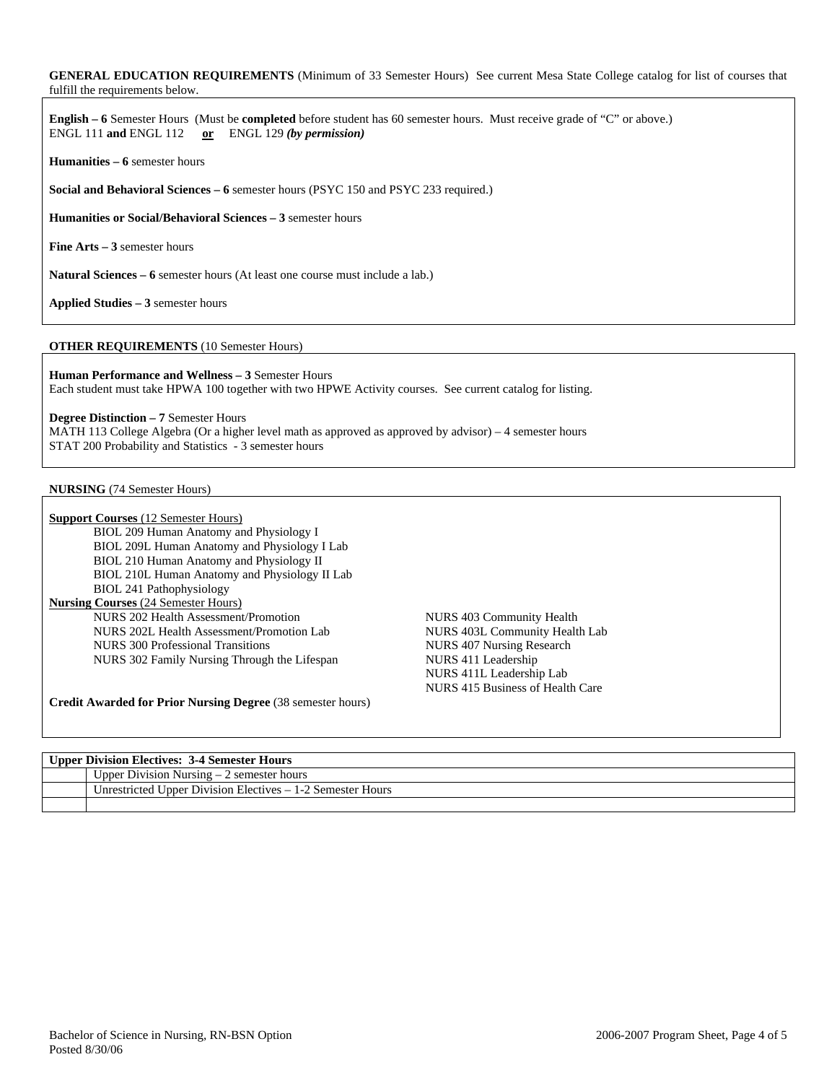### **GENERAL EDUCATION REQUIREMENTS** (Minimum of 33 Semester Hours) See current Mesa State College catalog for list of courses that fulfill the requirements below.

**English – 6** Semester Hours (Must be **completed** before student has 60 semester hours. Must receive grade of "C" or above.) ENGL 111 **and** ENGL 112 **or** ENGL 129 *(by permission)*

**Humanities – 6** semester hours

**Social and Behavioral Sciences – 6** semester hours (PSYC 150 and PSYC 233 required.)

**Humanities or Social/Behavioral Sciences – 3** semester hours

**Fine Arts – 3** semester hours

**Natural Sciences – 6** semester hours (At least one course must include a lab.)

**Applied Studies – 3** semester hours

#### **OTHER REQUIREMENTS** (10 Semester Hours)

**Human Performance and Wellness – 3** Semester Hours Each student must take HPWA 100 together with two HPWE Activity courses. See current catalog for listing.

**Degree Distinction – 7** Semester Hours

MATH 113 College Algebra (Or a higher level math as approved as approved by advisor) – 4 semester hours STAT 200 Probability and Statistics - 3 semester hours

#### **NURSING** (74 Semester Hours)

| <b>Support Courses</b> (12 Semester Hours)                         |                                  |
|--------------------------------------------------------------------|----------------------------------|
| BIOL 209 Human Anatomy and Physiology I                            |                                  |
| BIOL 209L Human Anatomy and Physiology I Lab                       |                                  |
| BIOL 210 Human Anatomy and Physiology II                           |                                  |
| BIOL 210L Human Anatomy and Physiology II Lab                      |                                  |
| BIOL 241 Pathophysiology                                           |                                  |
| <b>Nursing Courses</b> (24 Semester Hours)                         |                                  |
| NURS 202 Health Assessment/Promotion                               | NURS 403 Community Health        |
| NURS 202L Health Assessment/Promotion Lab                          | NURS 403L Community Health Lab   |
| NURS 300 Professional Transitions                                  | NURS 407 Nursing Research        |
| NURS 302 Family Nursing Through the Lifespan                       | NURS 411 Leadership              |
|                                                                    | NURS 411L Leadership Lab         |
|                                                                    | NURS 415 Business of Health Care |
| <b>Credit Awarded for Prior Nursing Degree</b> (38 semester hours) |                                  |

| <b>Upper Division Electives: 3-4 Semester Hours</b>         |
|-------------------------------------------------------------|
| Upper Division Nursing $-2$ semester hours                  |
| Unrestricted Upper Division Electives $-1-2$ Semester Hours |
|                                                             |